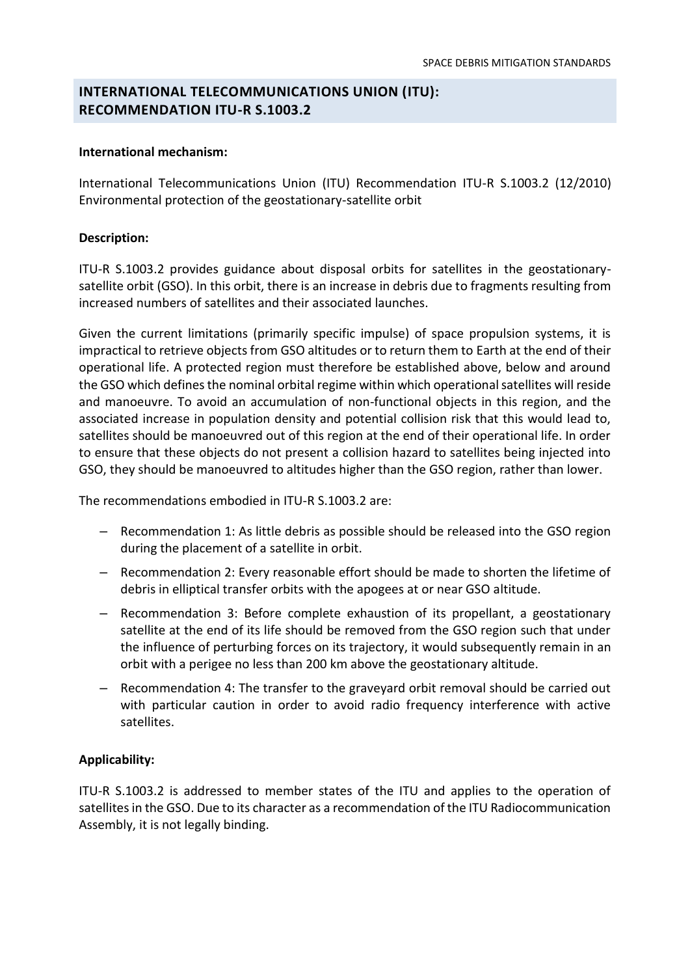# **INTERNATIONAL TELECOMMUNICATIONS UNION (ITU): RECOMMENDATION ITU-R S.1003.2**

### **International mechanism:**

International Telecommunications Union (ITU) Recommendation ITU-R S.1003.2 (12/2010) Environmental protection of the geostationary-satellite orbit

## **Description:**

ITU-R S.1003.2 provides guidance about disposal orbits for satellites in the geostationarysatellite orbit (GSO). In this orbit, there is an increase in debris due to fragments resulting from increased numbers of satellites and their associated launches.

Given the current limitations (primarily specific impulse) of space propulsion systems, it is impractical to retrieve objects from GSO altitudes or to return them to Earth at the end of their operational life. A protected region must therefore be established above, below and around the GSO which defines the nominal orbital regime within which operational satellites will reside and manoeuvre. To avoid an accumulation of non-functional objects in this region, and the associated increase in population density and potential collision risk that this would lead to, satellites should be manoeuvred out of this region at the end of their operational life. In order to ensure that these objects do not present a collision hazard to satellites being injected into GSO, they should be manoeuvred to altitudes higher than the GSO region, rather than lower.

The recommendations embodied in ITU-R S.1003.2 are:

- *–* Recommendation 1: As little debris as possible should be released into the GSO region during the placement of a satellite in orbit.
- *–* Recommendation 2: Every reasonable effort should be made to shorten the lifetime of debris in elliptical transfer orbits with the apogees at or near GSO altitude.
- *–* Recommendation 3: Before complete exhaustion of its propellant, a geostationary satellite at the end of its life should be removed from the GSO region such that under the influence of perturbing forces on its trajectory, it would subsequently remain in an orbit with a perigee no less than 200 km above the geostationary altitude.
- *–* Recommendation 4: The transfer to the graveyard orbit removal should be carried out with particular caution in order to avoid radio frequency interference with active satellites.

## **Applicability:**

ITU-R S.1003.2 is addressed to member states of the ITU and applies to the operation of satellites in the GSO. Due to its character as a recommendation of the ITU Radiocommunication Assembly, it is not legally binding.